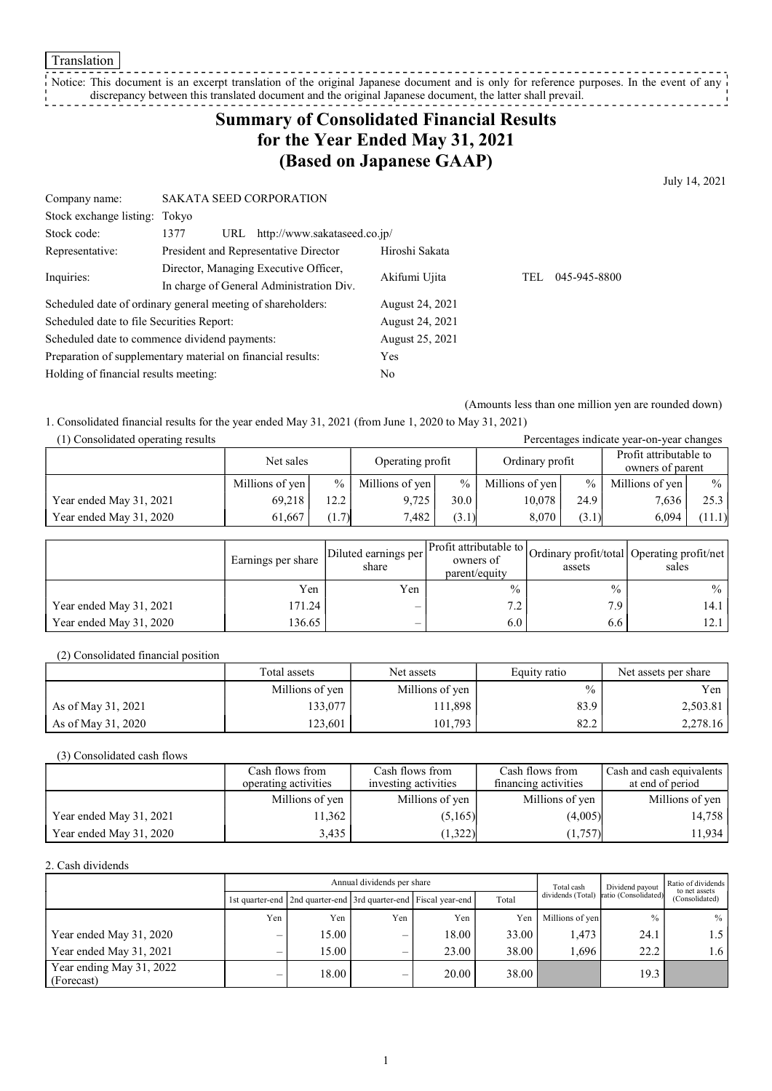Translation

Notice: This document is an excerpt translation of the original Japanese document and is only for reference purposes. In the event of any discrepancy between this translated document and the original Japanese document, the latter shall prevail.<br>discrepancy between this translated document and the original Japanese document, the latter shall prevail.

# Summary of Consolidated Financial Results for the Year Ended May 31, 2021 (Based on Japanese GAAP)

July 14, 2021

| Company name:                                               | <b>SAKATA SEED CORPORATION</b>              |                 |                     |
|-------------------------------------------------------------|---------------------------------------------|-----------------|---------------------|
| Stock exchange listing: Tokyo                               |                                             |                 |                     |
| Stock code:                                                 | http://www.sakataseed.co.jp/<br>1377<br>URL |                 |                     |
| Representative:                                             | President and Representative Director       | Hiroshi Sakata  |                     |
| Inquiries:                                                  | Director, Managing Executive Officer,       | Akifumi Ujita   | 045-945-8800<br>TEL |
|                                                             | In charge of General Administration Div.    |                 |                     |
| Scheduled date of ordinary general meeting of shareholders: |                                             | August 24, 2021 |                     |
| Scheduled date to file Securities Report:                   |                                             | August 24, 2021 |                     |
| Scheduled date to commence dividend payments:               |                                             | August 25, 2021 |                     |
| Preparation of supplementary material on financial results: |                                             | Yes             |                     |
| Holding of financial results meeting:                       |                                             | No              |                     |

(Amounts less than one million yen are rounded down)

1. Consolidated financial results for the year ended May 31, 2021 (from June 1, 2020 to May 31, 2021)

| (1) Consolidated operating results<br>Percentages indicate year-on-year changes |                 |       |                  |       |                 |       |                                            |               |
|---------------------------------------------------------------------------------|-----------------|-------|------------------|-------|-----------------|-------|--------------------------------------------|---------------|
|                                                                                 | Net sales       |       | Operating profit |       | Ordinary profit |       | Profit attributable to<br>owners of parent |               |
|                                                                                 | Millions of yen | $\%$  | Millions of yen  | $\%$  | Millions of yen | $\%$  | Millions of yen                            | $\frac{0}{0}$ |
| Year ended May 31, 2021                                                         | 69.218          | 12.2  | 9.725            | 30.0  | 10,078          | 24.9  | 7,636                                      | 25.3          |
| Year ended May 31, 2020                                                         | 61.667          | (1.7) | 7.482            | (3.1) | 8.070           | (3.1) | 6.094                                      | (11.1)        |

|                         | Earnings per share | Diluted earnings per<br>share | owners of<br>parent/equity | assets        | Ner Profit attributable to Ordinary profit/total Operating profit/net<br>sales |
|-------------------------|--------------------|-------------------------------|----------------------------|---------------|--------------------------------------------------------------------------------|
|                         | Yen                | Yen                           | $\frac{0}{0}$              | $\frac{0}{0}$ | $\%$                                                                           |
| Year ended May 31, 2021 | 171.24             | $\overline{\phantom{0}}$      | 72                         | 7.9           | 14.1 l                                                                         |
| Year ended May 31, 2020 | 136.65             | $\overline{\phantom{0}}$      | 6.0                        | 6.6           | 12.1                                                                           |

(2) Consolidated financial position

|                    | Total assets    | Net assets      | Equity ratio | Net assets per share |
|--------------------|-----------------|-----------------|--------------|----------------------|
|                    | Millions of yen | Millions of yen | $\%$         | Yen                  |
| As of May 31, 2021 | 133,077         | 111,898         | 83.9         | 2,503.81             |
| As of May 31, 2020 | 123.601         | 101,793         | 82.2         | 2.278.16             |

(3) Consolidated cash flows

|                         | Cash flows from<br>operating activities | Cash flows from<br>investing activities | Cash flows from<br>financing activities | Cash and cash equivalents<br>at end of period |
|-------------------------|-----------------------------------------|-----------------------------------------|-----------------------------------------|-----------------------------------------------|
|                         | Millions of yen                         | Millions of yen                         | Millions of yen                         | Millions of yen                               |
| Year ended May 31, 2021 | 1,362                                   | (5,165)                                 | (4.005)                                 | 14,758                                        |
| Year ended May 31, 2020 | 3.435                                   | (1,322)                                 | (1,757)                                 | 11,934                                        |

2. Cash dividends

|                                        | Annual dividends per share |                                                                 |                          |       |       | Total cash      | Dividend payout                        | Ratio of dividends<br>to net assets |
|----------------------------------------|----------------------------|-----------------------------------------------------------------|--------------------------|-------|-------|-----------------|----------------------------------------|-------------------------------------|
|                                        |                            | 1st quarter-end 2nd quarter-end 3rd quarter-end Fiscal year-end |                          |       | Total |                 | dividends (Total) ratio (Consolidated) | (Consolidated)                      |
|                                        | Yen                        | Yen                                                             | Yen                      | Yen   | Yen   | Millions of yen | $\%$                                   | $\%$                                |
| Year ended May 31, 2020                | $\overline{\phantom{0}}$   | 15.00                                                           | $\overline{\phantom{0}}$ | 18.00 | 33.00 | 1,473           | 24.1                                   | 1.5 I                               |
| Year ended May 31, 2021                | $\overline{\phantom{0}}$   | 15.00                                                           | –                        | 23.00 | 38.00 | 1.696           | 22.2                                   | 1.6 l                               |
| Year ending May 31, 2022<br>(Forecast) | $\overline{\phantom{0}}$   | 18.00                                                           | $\overline{\phantom{0}}$ | 20.00 | 38.00 |                 | 19.3                                   |                                     |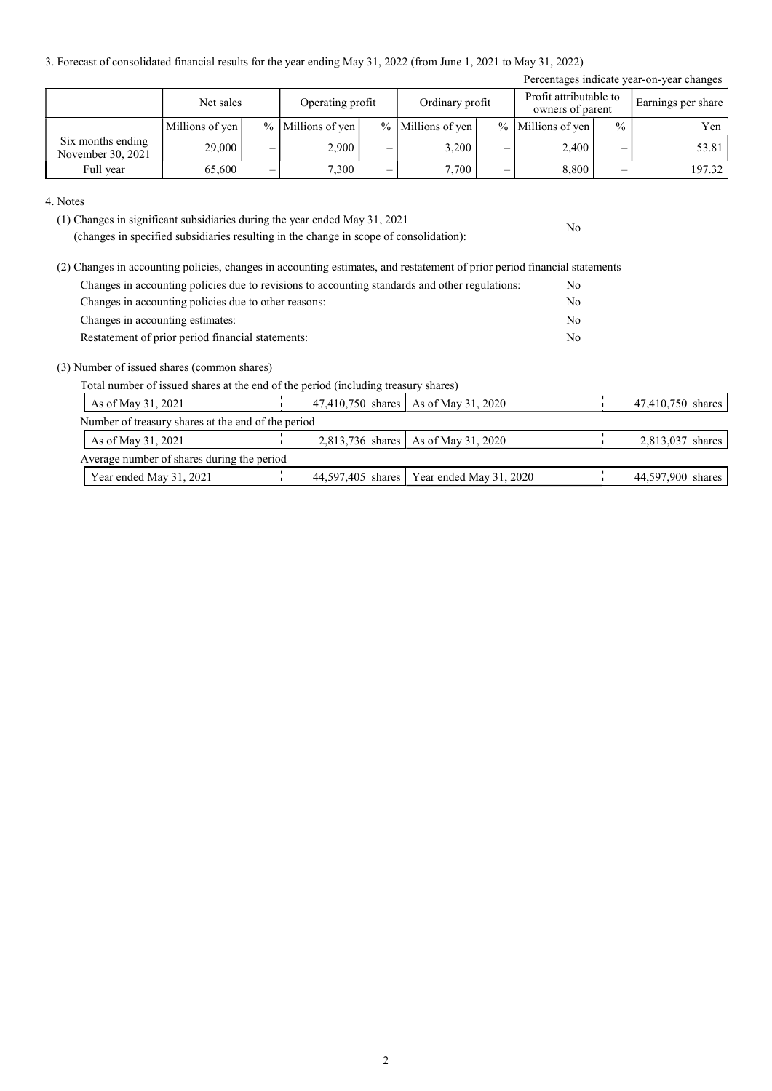3. Forecast of consolidated financial results for the year ending May 31, 2022 (from June 1, 2021 to May 31, 2022)

| Percentages indicate year-on-year changes |                 |   |                       |   |                       |   |                                            |               |                    |
|-------------------------------------------|-----------------|---|-----------------------|---|-----------------------|---|--------------------------------------------|---------------|--------------------|
|                                           | Net sales       |   | Operating profit      |   | Ordinary profit       |   | Profit attributable to<br>owners of parent |               | Earnings per share |
|                                           | Millions of yen |   | $%$   Millions of yen |   | $%$   Millions of yen |   | % Millions of yen                          | $\frac{0}{0}$ | Yen                |
| Six months ending<br>November 30, 2021    | 29,000          | – | 2,900                 | – | 3,200                 | — | 2,400                                      | –             | 53.81              |
| Full year                                 | 65,600          | – | 7,300                 | _ | 7,700                 | — | 8,800                                      | _             | 197.32             |

No

#### 4. Notes

(1) Changes in significant subsidiaries during the year ended May 31, 2021

(changes in specified subsidiaries resulting in the change in scope of consolidation):

| (2) Changes in accounting policies, changes in accounting estimates, and restatement of prior period financial statements |     |
|---------------------------------------------------------------------------------------------------------------------------|-----|
| Changes in accounting policies due to revisions to accounting standards and other regulations:                            | No. |
| Changes in accounting policies due to other reasons:                                                                      | No. |
| Changes in accounting estimates:                                                                                          | No. |
| Restatement of prior period financial statements:                                                                         | No  |

(3) Number of issued shares (common shares)

Total number of issued shares at the end of the period (including treasury shares)

| As of May 31, 2021                                 | 47,410,750 shares   As of May 31, 2020      | 47,410,750 shares |
|----------------------------------------------------|---------------------------------------------|-------------------|
| Number of treasury shares at the end of the period |                                             |                   |
| As of May 31, 2021                                 | 2,813,736 shares   As of May 31, 2020       | 2,813,037 shares  |
| Average number of shares during the period         |                                             |                   |
| Year ended May 31, 2021                            | 44,597,405 shares   Year ended May 31, 2020 | 44,597,900 shares |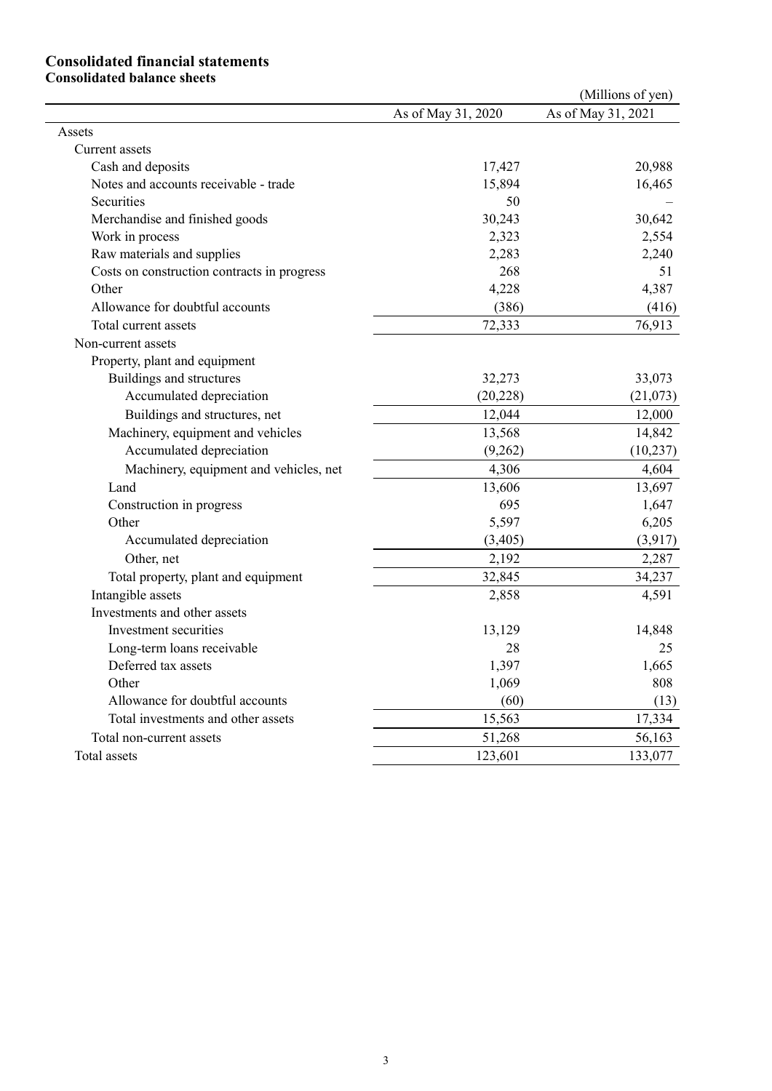### Consolidated financial statements Consolidated balance sheets

|                                             |                    | (Millions of yen)  |
|---------------------------------------------|--------------------|--------------------|
|                                             | As of May 31, 2020 | As of May 31, 2021 |
| Assets                                      |                    |                    |
| Current assets                              |                    |                    |
| Cash and deposits                           | 17,427             | 20,988             |
| Notes and accounts receivable - trade       | 15,894             | 16,465             |
| Securities                                  | 50                 |                    |
| Merchandise and finished goods              | 30,243             | 30,642             |
| Work in process                             | 2,323              | 2,554              |
| Raw materials and supplies                  | 2,283              | 2,240              |
| Costs on construction contracts in progress | 268                | 51                 |
| Other                                       | 4,228              | 4,387              |
| Allowance for doubtful accounts             | (386)              | (416)              |
| Total current assets                        | 72,333             | 76,913             |
| Non-current assets                          |                    |                    |
| Property, plant and equipment               |                    |                    |
| Buildings and structures                    | 32,273             | 33,073             |
| Accumulated depreciation                    | (20, 228)          | (21,073)           |
| Buildings and structures, net               | 12,044             | 12,000             |
| Machinery, equipment and vehicles           | 13,568             | 14,842             |
| Accumulated depreciation                    | (9,262)            | (10, 237)          |
| Machinery, equipment and vehicles, net      | 4,306              | 4,604              |
| Land                                        | 13,606             | 13,697             |
| Construction in progress                    | 695                | 1,647              |
| Other                                       | 5,597              | 6,205              |
| Accumulated depreciation                    | (3,405)            | (3,917)            |
| Other, net                                  | 2,192              | 2,287              |
| Total property, plant and equipment         | 32,845             | 34,237             |
| Intangible assets                           | 2,858              | 4,591              |
| Investments and other assets                |                    |                    |
| Investment securities                       | 13,129             | 14,848             |
| Long-term loans receivable                  | 28                 | 25                 |
| Deferred tax assets                         | 1,397              | 1,665              |
| Other                                       | 1,069              | 808                |
| Allowance for doubtful accounts             | (60)               | (13)               |
| Total investments and other assets          | 15,563             | 17,334             |
| Total non-current assets                    | 51,268             | 56,163             |
| Total assets                                | 123,601            | 133,077            |
|                                             |                    |                    |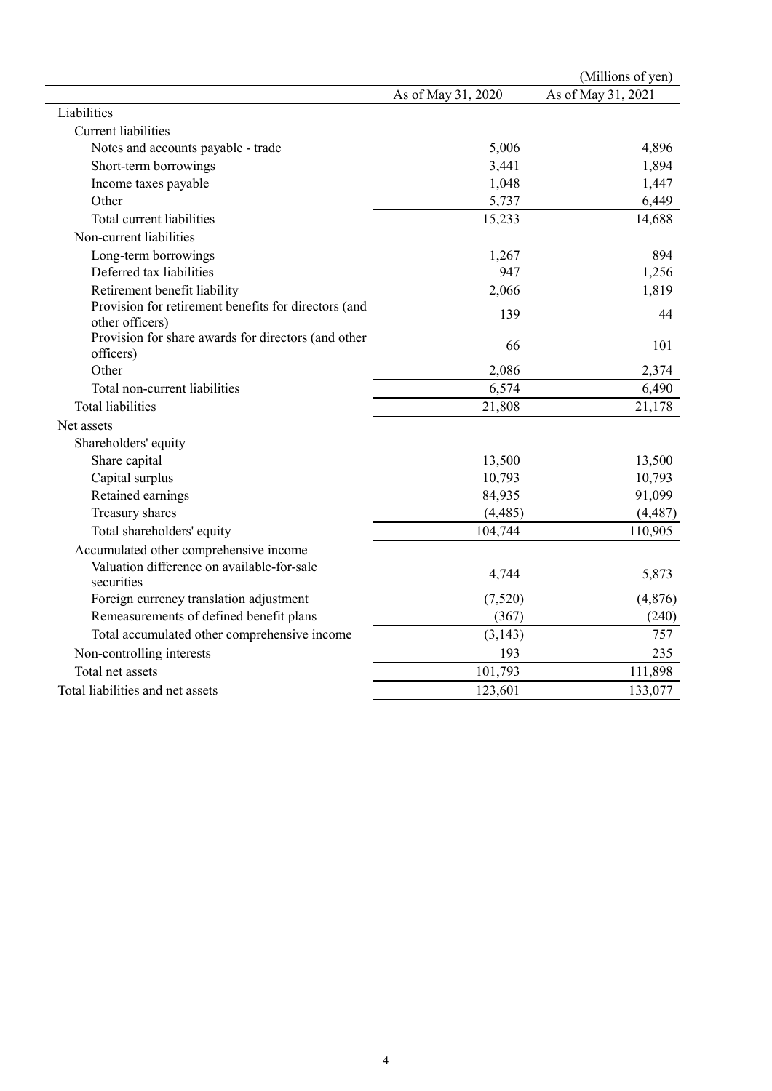|                                                                         |                    | (Millions of yen)  |
|-------------------------------------------------------------------------|--------------------|--------------------|
|                                                                         | As of May 31, 2020 | As of May 31, 2021 |
| Liabilities                                                             |                    |                    |
| <b>Current liabilities</b>                                              |                    |                    |
| Notes and accounts payable - trade                                      | 5,006              | 4,896              |
| Short-term borrowings                                                   | 3,441              | 1,894              |
| Income taxes payable                                                    | 1,048              | 1,447              |
| Other                                                                   | 5,737              | 6,449              |
| Total current liabilities                                               | 15,233             | 14,688             |
| Non-current liabilities                                                 |                    |                    |
| Long-term borrowings                                                    | 1,267              | 894                |
| Deferred tax liabilities                                                | 947                | 1,256              |
| Retirement benefit liability                                            | 2,066              | 1,819              |
| Provision for retirement benefits for directors (and<br>other officers) | 139                | 44                 |
| Provision for share awards for directors (and other<br>officers)        | 66                 | 101                |
| Other                                                                   | 2,086              | 2,374              |
| Total non-current liabilities                                           | 6,574              | 6,490              |
| <b>Total liabilities</b>                                                | 21,808             | 21,178             |
| Net assets                                                              |                    |                    |
| Shareholders' equity                                                    |                    |                    |
| Share capital                                                           | 13,500             | 13,500             |
| Capital surplus                                                         | 10,793             | 10,793             |
| Retained earnings                                                       | 84,935             | 91,099             |
| Treasury shares                                                         | (4, 485)           | (4, 487)           |
| Total shareholders' equity                                              | 104,744            | 110,905            |
| Accumulated other comprehensive income                                  |                    |                    |
| Valuation difference on available-for-sale<br>securities                | 4,744              | 5,873              |
| Foreign currency translation adjustment                                 | (7,520)            | (4,876)            |
| Remeasurements of defined benefit plans                                 | (367)              | (240)              |
| Total accumulated other comprehensive income                            | (3, 143)           | 757                |
| Non-controlling interests                                               | 193                | 235                |
| Total net assets                                                        | 101,793            | 111,898            |
| Total liabilities and net assets                                        | 123,601            | 133,077            |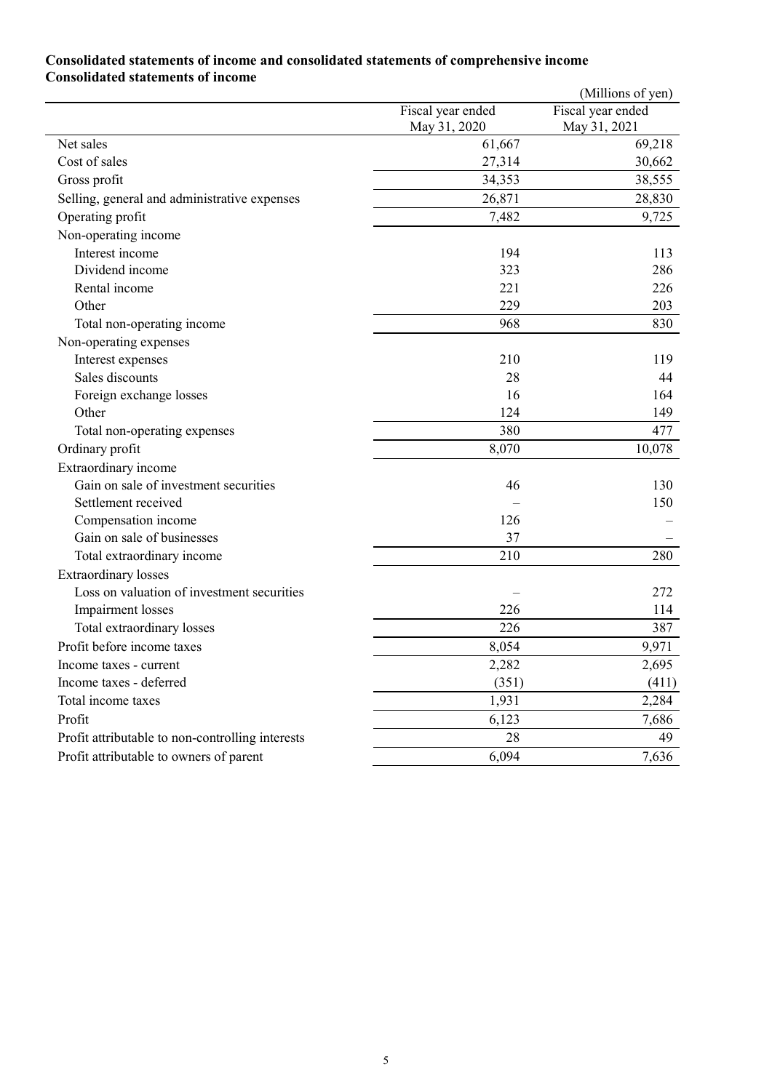### Consolidated statements of income and consolidated statements of comprehensive income Consolidated statements of income

|                                                  |                                   | (Millions of yen)                 |
|--------------------------------------------------|-----------------------------------|-----------------------------------|
|                                                  | Fiscal year ended<br>May 31, 2020 | Fiscal year ended<br>May 31, 2021 |
| Net sales                                        | 61,667                            | 69,218                            |
| Cost of sales                                    | 27,314                            | 30,662                            |
| Gross profit                                     | 34,353                            | 38,555                            |
| Selling, general and administrative expenses     | 26,871                            | 28,830                            |
| Operating profit                                 | 7,482                             | 9,725                             |
| Non-operating income                             |                                   |                                   |
| Interest income                                  | 194                               | 113                               |
| Dividend income                                  | 323                               | 286                               |
| Rental income                                    | 221                               | 226                               |
| Other                                            | 229                               | 203                               |
| Total non-operating income                       | 968                               | 830                               |
| Non-operating expenses                           |                                   |                                   |
| Interest expenses                                | 210                               | 119                               |
| Sales discounts                                  | 28                                | 44                                |
| Foreign exchange losses                          | 16                                | 164                               |
| Other                                            | 124                               | 149                               |
| Total non-operating expenses                     | 380                               | 477                               |
| Ordinary profit                                  | 8,070                             | 10,078                            |
| Extraordinary income                             |                                   |                                   |
| Gain on sale of investment securities            | 46                                | 130                               |
| Settlement received                              |                                   | 150                               |
| Compensation income                              | 126                               |                                   |
| Gain on sale of businesses                       | 37                                |                                   |
| Total extraordinary income                       | 210                               | 280                               |
| <b>Extraordinary</b> losses                      |                                   |                                   |
| Loss on valuation of investment securities       |                                   | 272                               |
| Impairment losses                                | 226                               | 114                               |
| Total extraordinary losses                       | 226                               | 387                               |
| Profit before income taxes                       | 8,054                             | 9,971                             |
| Income taxes - current                           | 2,282                             | 2,695                             |
| Income taxes - deferred                          | (351)                             | (411)                             |
| Total income taxes                               | 1,931                             | 2,284                             |
| Profit                                           | 6,123                             | 7,686                             |
| Profit attributable to non-controlling interests | 28                                | 49                                |
| Profit attributable to owners of parent          | 6,094                             | 7,636                             |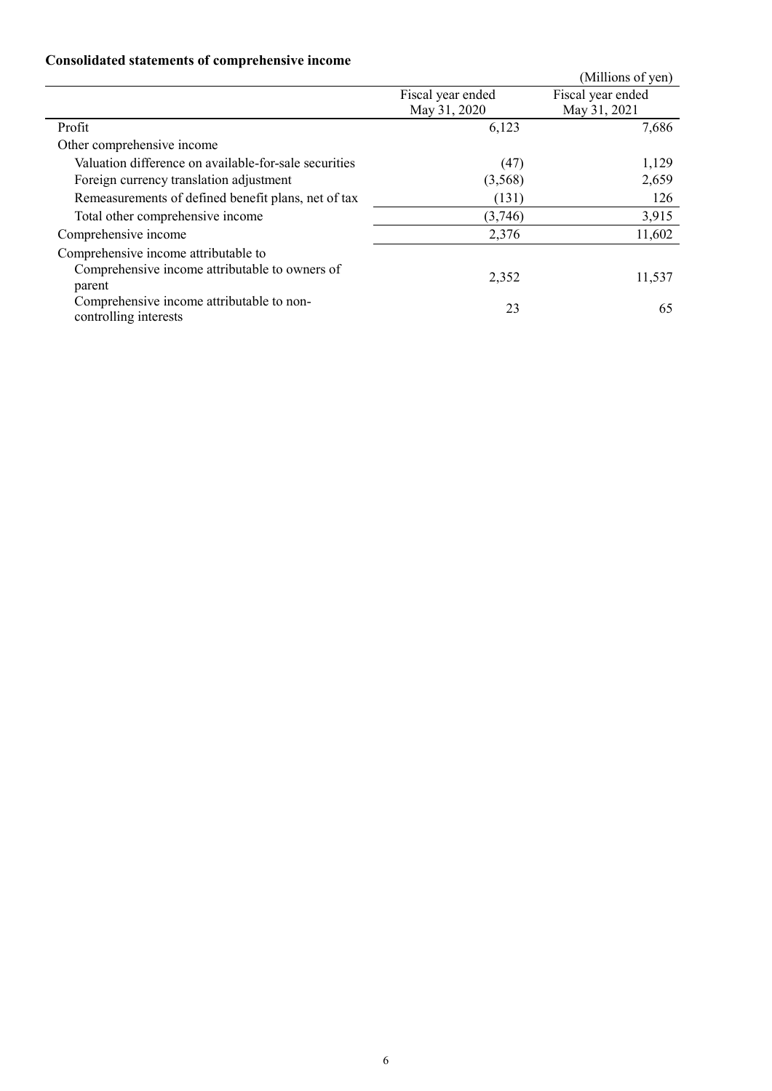## Consolidated statements of comprehensive income

| Consonance statements of comprenensive income         |                   |                   |
|-------------------------------------------------------|-------------------|-------------------|
|                                                       |                   | (Millions of yen) |
|                                                       | Fiscal year ended | Fiscal year ended |
|                                                       | May 31, 2020      | May 31, 2021      |
| Profit                                                | 6,123             | 7,686             |
| Other comprehensive income                            |                   |                   |
| Valuation difference on available-for-sale securities | (47)              | 1,129             |
| Foreign currency translation adjustment               | (3,568)           | 2,659             |
| Remeasurements of defined benefit plans, net of tax   | (131)             | 126               |
| Total other comprehensive income                      | (3,746)           | 3,915             |
| Comprehensive income                                  | 2,376             | 11,602            |
| Comprehensive income attributable to                  |                   |                   |
| Comprehensive income attributable to owners of        | 2,352             | 11,537            |
| parent                                                |                   |                   |
| Comprehensive income attributable to non-             | 23                | 65                |
| controlling interests                                 |                   |                   |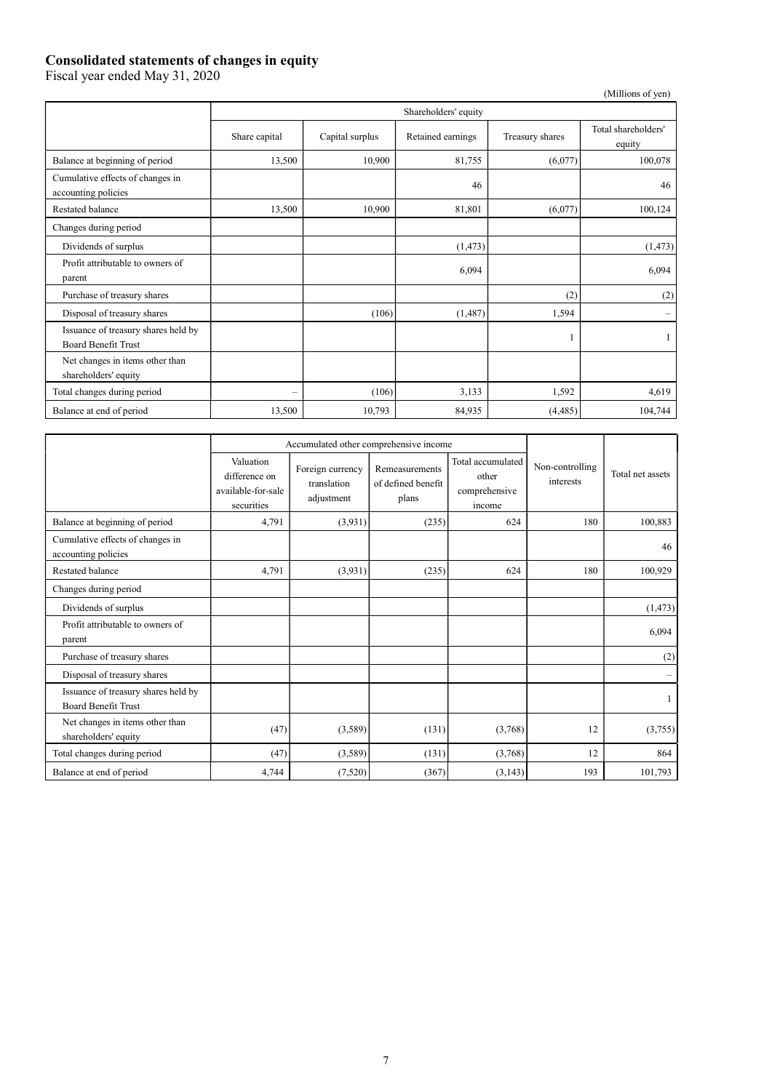### Consolidated statements of changes in equity

Fiscal year ended May 31, 2020

(Millions of yen)

|                                                                   | Shareholders' equity     |                 |                   |                 |                               |  |  |
|-------------------------------------------------------------------|--------------------------|-----------------|-------------------|-----------------|-------------------------------|--|--|
|                                                                   | Share capital            | Capital surplus | Retained earnings | Treasury shares | Total shareholders'<br>equity |  |  |
| Balance at beginning of period                                    | 13,500                   | 10,900          | 81,755            | (6,077)         | 100,078                       |  |  |
| Cumulative effects of changes in<br>accounting policies           |                          |                 | 46                |                 | 46                            |  |  |
| Restated balance                                                  | 13,500                   | 10,900          | 81,801            | (6,077)         | 100,124                       |  |  |
| Changes during period                                             |                          |                 |                   |                 |                               |  |  |
| Dividends of surplus                                              |                          |                 | (1, 473)          |                 | (1, 473)                      |  |  |
| Profit attributable to owners of<br>parent                        |                          |                 | 6,094             |                 | 6,094                         |  |  |
| Purchase of treasury shares                                       |                          |                 |                   | (2)             | (2)                           |  |  |
| Disposal of treasury shares                                       |                          | (106)           | (1,487)           | 1,594           | $\overline{\phantom{m}}$      |  |  |
| Issuance of treasury shares held by<br><b>Board Benefit Trust</b> |                          |                 |                   |                 |                               |  |  |
| Net changes in items other than<br>shareholders' equity           |                          |                 |                   |                 |                               |  |  |
| Total changes during period                                       | $\overline{\phantom{0}}$ | (106)           | 3,133             | 1,592           | 4,619                         |  |  |
| Balance at end of period                                          | 13,500                   | 10,793          | 84,935            | (4, 485)        | 104,744                       |  |  |

|                                                                   | Accumulated other comprehensive income                         |                                               |                                               |                                                       |                              |                  |
|-------------------------------------------------------------------|----------------------------------------------------------------|-----------------------------------------------|-----------------------------------------------|-------------------------------------------------------|------------------------------|------------------|
|                                                                   | Valuation<br>difference on<br>available-for-sale<br>securities | Foreign currency<br>translation<br>adjustment | Remeasurements<br>of defined benefit<br>plans | Total accumulated<br>other<br>comprehensive<br>income | Non-controlling<br>interests | Total net assets |
| Balance at beginning of period                                    | 4,791                                                          | (3,931)                                       | (235)                                         | 624                                                   | 180                          | 100,883          |
| Cumulative effects of changes in<br>accounting policies           |                                                                |                                               |                                               |                                                       |                              | 46               |
| Restated balance                                                  | 4,791                                                          | (3,931)                                       | (235)                                         | 624                                                   | 180                          | 100,929          |
| Changes during period                                             |                                                                |                                               |                                               |                                                       |                              |                  |
| Dividends of surplus                                              |                                                                |                                               |                                               |                                                       |                              | (1, 473)         |
| Profit attributable to owners of<br>parent                        |                                                                |                                               |                                               |                                                       |                              | 6,094            |
| Purchase of treasury shares                                       |                                                                |                                               |                                               |                                                       |                              | (2)              |
| Disposal of treasury shares                                       |                                                                |                                               |                                               |                                                       |                              |                  |
| Issuance of treasury shares held by<br><b>Board Benefit Trust</b> |                                                                |                                               |                                               |                                                       |                              | 1                |
| Net changes in items other than<br>shareholders' equity           | (47)                                                           | (3,589)                                       | (131)                                         | (3,768)                                               | 12                           | (3,755)          |
| Total changes during period                                       | (47)                                                           | (3,589)                                       | (131)                                         | (3,768)                                               | 12                           | 864              |
| Balance at end of period                                          | 4,744                                                          | (7,520)                                       | (367)                                         | (3, 143)                                              | 193                          | 101,793          |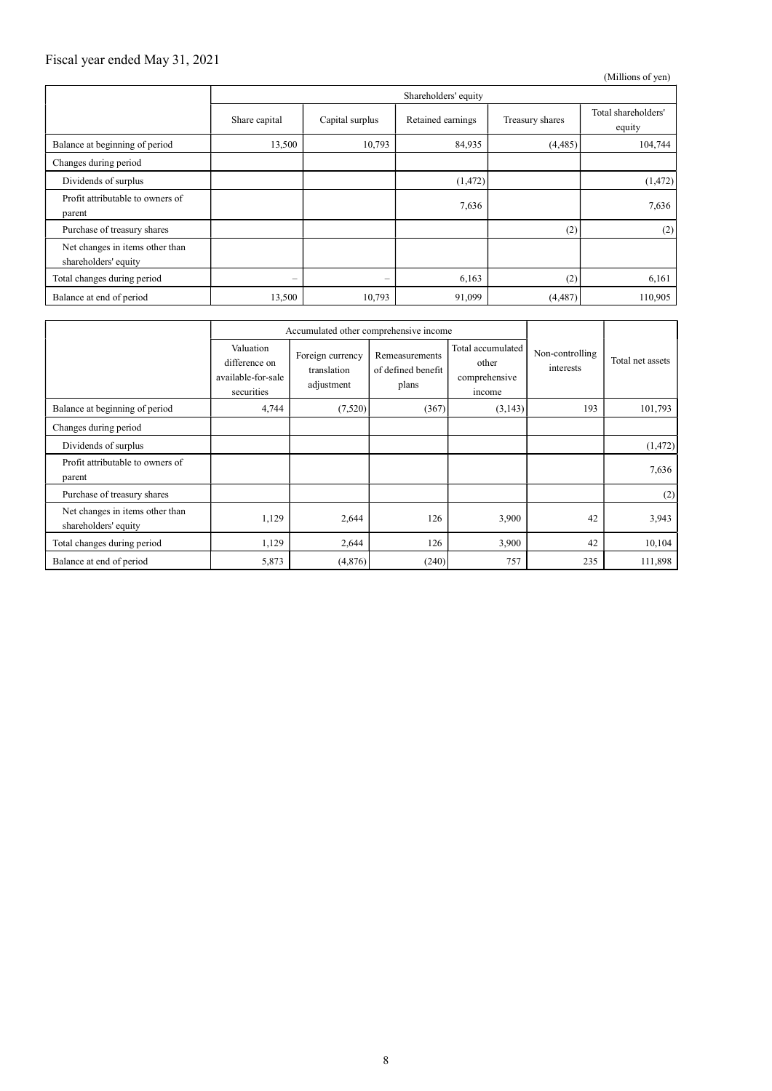### Fiscal year ended May 31, 2021

(Millions of yen)

|                                                         | Shareholders' equity |                         |                   |                 |                               |  |
|---------------------------------------------------------|----------------------|-------------------------|-------------------|-----------------|-------------------------------|--|
|                                                         | Share capital        | Capital surplus         | Retained earnings | Treasury shares | Total shareholders'<br>equity |  |
| Balance at beginning of period                          | 13,500               | 10,793                  | 84,935            | (4, 485)        | 104,744                       |  |
| Changes during period                                   |                      |                         |                   |                 |                               |  |
| Dividends of surplus                                    |                      |                         | (1, 472)          |                 | (1, 472)                      |  |
| Profit attributable to owners of<br>parent              |                      |                         | 7,636             |                 | 7,636                         |  |
| Purchase of treasury shares                             |                      |                         |                   | (2)             | (2)                           |  |
| Net changes in items other than<br>shareholders' equity |                      |                         |                   |                 |                               |  |
| Total changes during period                             | -                    | $\qquad \qquad \  \, -$ | 6,163             | (2)             | 6,161                         |  |
| Balance at end of period                                | 13,500               | 10,793                  | 91,099            | (4, 487)        | 110,905                       |  |

|                                                         | Accumulated other comprehensive income                         |                                               |                                               |                                                       |                              |                  |
|---------------------------------------------------------|----------------------------------------------------------------|-----------------------------------------------|-----------------------------------------------|-------------------------------------------------------|------------------------------|------------------|
|                                                         | Valuation<br>difference on<br>available-for-sale<br>securities | Foreign currency<br>translation<br>adjustment | Remeasurements<br>of defined benefit<br>plans | Total accumulated<br>other<br>comprehensive<br>income | Non-controlling<br>interests | Total net assets |
| Balance at beginning of period                          | 4,744                                                          | (7,520)                                       | (367)                                         | (3,143)                                               | 193                          | 101,793          |
| Changes during period                                   |                                                                |                                               |                                               |                                                       |                              |                  |
| Dividends of surplus                                    |                                                                |                                               |                                               |                                                       |                              | (1, 472)         |
| Profit attributable to owners of<br>parent              |                                                                |                                               |                                               |                                                       |                              | 7,636            |
| Purchase of treasury shares                             |                                                                |                                               |                                               |                                                       |                              | (2)              |
| Net changes in items other than<br>shareholders' equity | 1,129                                                          | 2,644                                         | 126                                           | 3,900                                                 | 42                           | 3,943            |
| Total changes during period                             | 1,129                                                          | 2,644                                         | 126                                           | 3,900                                                 | 42                           | 10,104           |
| Balance at end of period                                | 5,873                                                          | (4,876)                                       | (240)                                         | 757                                                   | 235                          | 111,898          |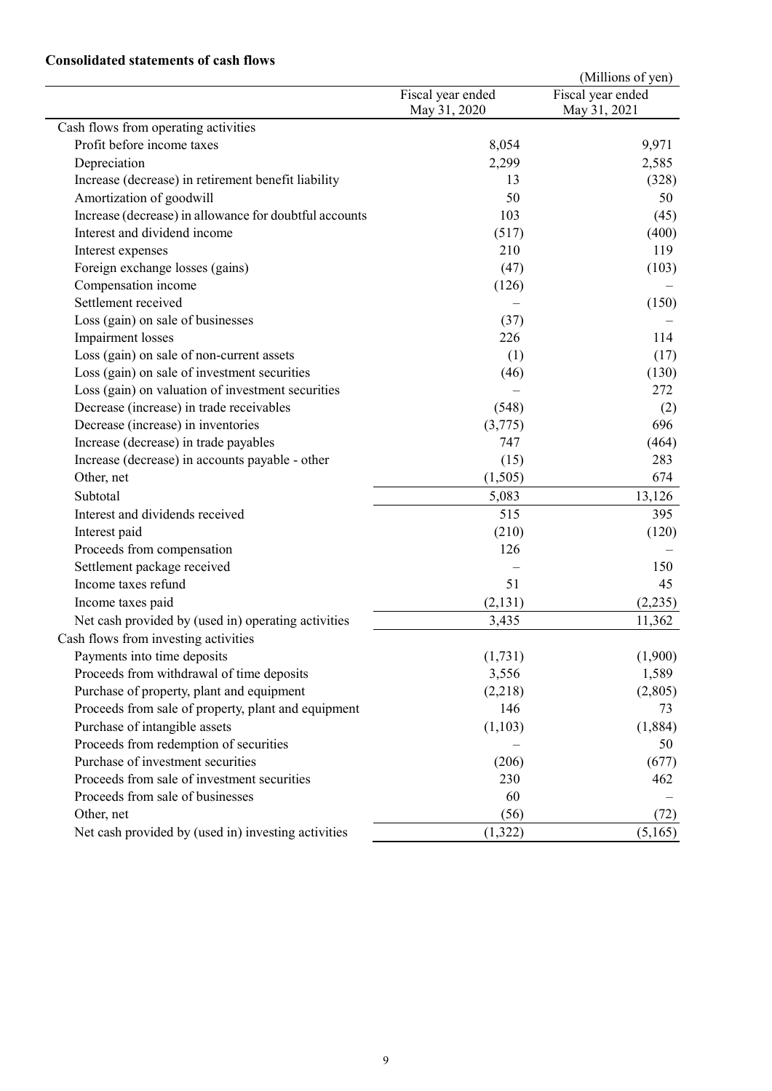### Consolidated statements of cash flows

|                                                        |                                   | (Millions of yen)                 |
|--------------------------------------------------------|-----------------------------------|-----------------------------------|
|                                                        | Fiscal year ended<br>May 31, 2020 | Fiscal year ended<br>May 31, 2021 |
| Cash flows from operating activities                   |                                   |                                   |
| Profit before income taxes                             | 8,054                             | 9,971                             |
| Depreciation                                           | 2,299                             | 2,585                             |
| Increase (decrease) in retirement benefit liability    | 13                                | (328)                             |
| Amortization of goodwill                               | 50                                | 50                                |
| Increase (decrease) in allowance for doubtful accounts | 103                               | (45)                              |
| Interest and dividend income                           | (517)                             | (400)                             |
| Interest expenses                                      | 210                               | 119                               |
| Foreign exchange losses (gains)                        | (47)                              | (103)                             |
| Compensation income                                    | (126)                             |                                   |
| Settlement received                                    |                                   | (150)                             |
| Loss (gain) on sale of businesses                      | (37)                              |                                   |
| Impairment losses                                      | 226                               | 114                               |
| Loss (gain) on sale of non-current assets              | (1)                               | (17)                              |
| Loss (gain) on sale of investment securities           | (46)                              | (130)                             |
| Loss (gain) on valuation of investment securities      |                                   | 272                               |
| Decrease (increase) in trade receivables               | (548)                             | (2)                               |
| Decrease (increase) in inventories                     | (3,775)                           | 696                               |
| Increase (decrease) in trade payables                  | 747                               | (464)                             |
| Increase (decrease) in accounts payable - other        | (15)                              | 283                               |
| Other, net                                             | (1,505)                           | 674                               |
| Subtotal                                               | 5,083                             | 13,126                            |
| Interest and dividends received                        | 515                               | 395                               |
| Interest paid                                          | (210)                             | (120)                             |
| Proceeds from compensation                             | 126                               |                                   |
| Settlement package received                            |                                   | 150                               |
| Income taxes refund                                    | 51                                | 45                                |
| Income taxes paid                                      | (2,131)                           | (2,235)                           |
| Net cash provided by (used in) operating activities    | 3,435                             | 11,362                            |
| Cash flows from investing activities                   |                                   |                                   |
| Payments into time deposits                            | (1,731)                           | (1,900)                           |
| Proceeds from withdrawal of time deposits              | 3,556                             | 1,589                             |
| Purchase of property, plant and equipment              | (2,218)                           | (2,805)                           |
| Proceeds from sale of property, plant and equipment    | 146                               | 73                                |
| Purchase of intangible assets                          | (1,103)                           | (1,884)                           |
| Proceeds from redemption of securities                 |                                   | 50                                |
| Purchase of investment securities                      | (206)                             | (677)                             |
| Proceeds from sale of investment securities            | 230                               | 462                               |
| Proceeds from sale of businesses                       | 60                                |                                   |
| Other, net                                             | (56)                              | (72)                              |
| Net cash provided by (used in) investing activities    | (1, 322)                          | (5,165)                           |